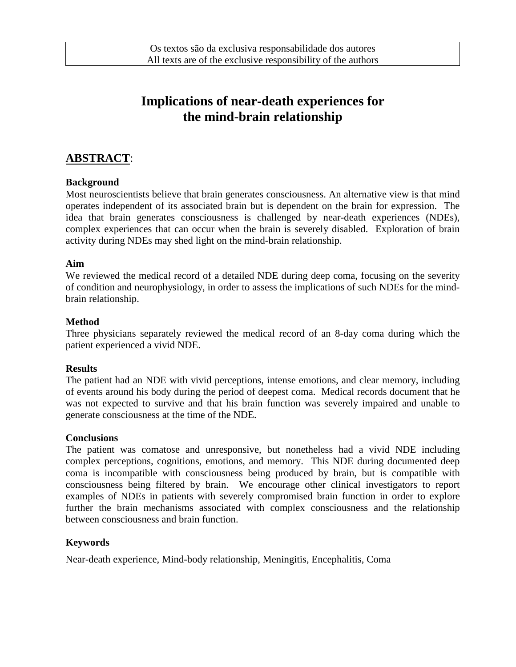# **Implications of near-death experiences for the mind-brain relationship**

# **ABSTRACT**:

#### **Background**

Most neuroscientists believe that brain generates consciousness. An alternative view is that mind operates independent of its associated brain but is dependent on the brain for expression. The idea that brain generates consciousness is challenged by near-death experiences (NDEs), complex experiences that can occur when the brain is severely disabled. Exploration of brain activity during NDEs may shed light on the mind-brain relationship.

#### **Aim**

We reviewed the medical record of a detailed NDE during deep coma, focusing on the severity of condition and neurophysiology, in order to assess the implications of such NDEs for the mindbrain relationship.

#### **Method**

Three physicians separately reviewed the medical record of an 8-day coma during which the patient experienced a vivid NDE.

#### **Results**

The patient had an NDE with vivid perceptions, intense emotions, and clear memory, including of events around his body during the period of deepest coma. Medical records document that he was not expected to survive and that his brain function was severely impaired and unable to generate consciousness at the time of the NDE.

#### **Conclusions**

The patient was comatose and unresponsive, but nonetheless had a vivid NDE including complex perceptions, cognitions, emotions, and memory. This NDE during documented deep coma is incompatible with consciousness being produced by brain, but is compatible with consciousness being filtered by brain. We encourage other clinical investigators to report examples of NDEs in patients with severely compromised brain function in order to explore further the brain mechanisms associated with complex consciousness and the relationship between consciousness and brain function.

#### **Keywords**

Near-death experience, Mind-body relationship, Meningitis, Encephalitis, Coma